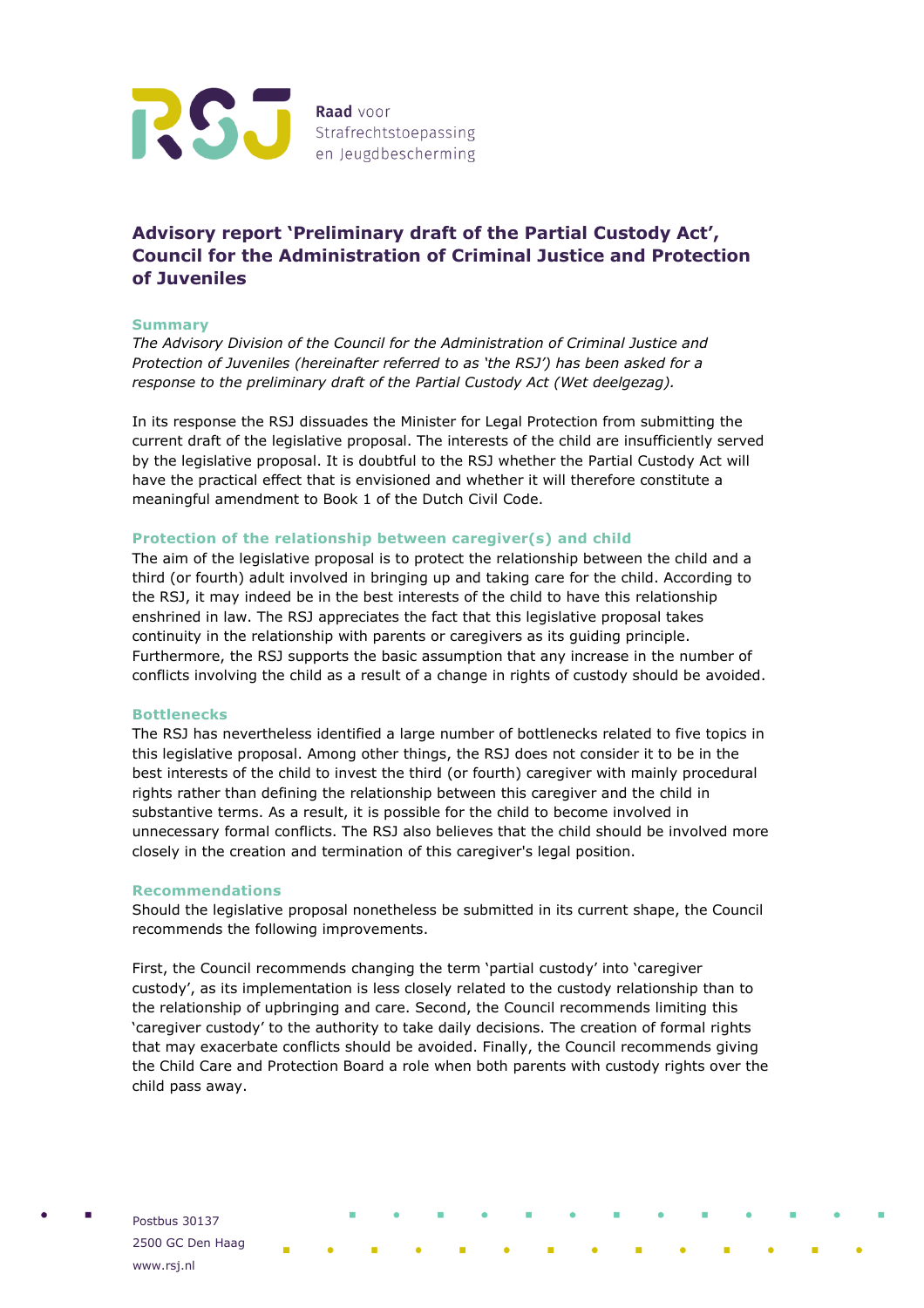

# **Advisory report 'Preliminary draft of the Partial Custody Act', Council for the Administration of Criminal Justice and Protection of Juveniles**

## **Summary**

*The Advisory Division of the Council for the Administration of Criminal Justice and Protection of Juveniles (hereinafter referred to as 'the RSJ') has been asked for a response to the preliminary draft of the Partial Custody Act (Wet deelgezag).* 

In its response the RSJ dissuades the Minister for Legal Protection from submitting the current draft of the legislative proposal. The interests of the child are insufficiently served by the legislative proposal. It is doubtful to the RSJ whether the Partial Custody Act will have the practical effect that is envisioned and whether it will therefore constitute a meaningful amendment to Book 1 of the Dutch Civil Code.

## **Protection of the relationship between caregiver(s) and child**

The aim of the legislative proposal is to protect the relationship between the child and a third (or fourth) adult involved in bringing up and taking care for the child. According to the RSJ, it may indeed be in the best interests of the child to have this relationship enshrined in law. The RSJ appreciates the fact that this legislative proposal takes continuity in the relationship with parents or caregivers as its guiding principle. Furthermore, the RSJ supports the basic assumption that any increase in the number of conflicts involving the child as a result of a change in rights of custody should be avoided.

#### **Bottlenecks**

The RSJ has nevertheless identified a large number of bottlenecks related to five topics in this legislative proposal. Among other things, the RSJ does not consider it to be in the best interests of the child to invest the third (or fourth) caregiver with mainly procedural rights rather than defining the relationship between this caregiver and the child in substantive terms. As a result, it is possible for the child to become involved in unnecessary formal conflicts. The RSJ also believes that the child should be involved more closely in the creation and termination of this caregiver's legal position.

#### **Recommendations**

Should the legislative proposal nonetheless be submitted in its current shape, the Council recommends the following improvements.

First, the Council recommends changing the term 'partial custody' into 'caregiver custody', as its implementation is less closely related to the custody relationship than to the relationship of upbringing and care. Second, the Council recommends limiting this 'caregiver custody' to the authority to take daily decisions. The creation of formal rights that may exacerbate conflicts should be avoided. Finally, the Council recommends giving the Child Care and Protection Board a role when both parents with custody rights over the child pass away.

Postbus 30137 2500 GC Den Haag www.rsj.nl